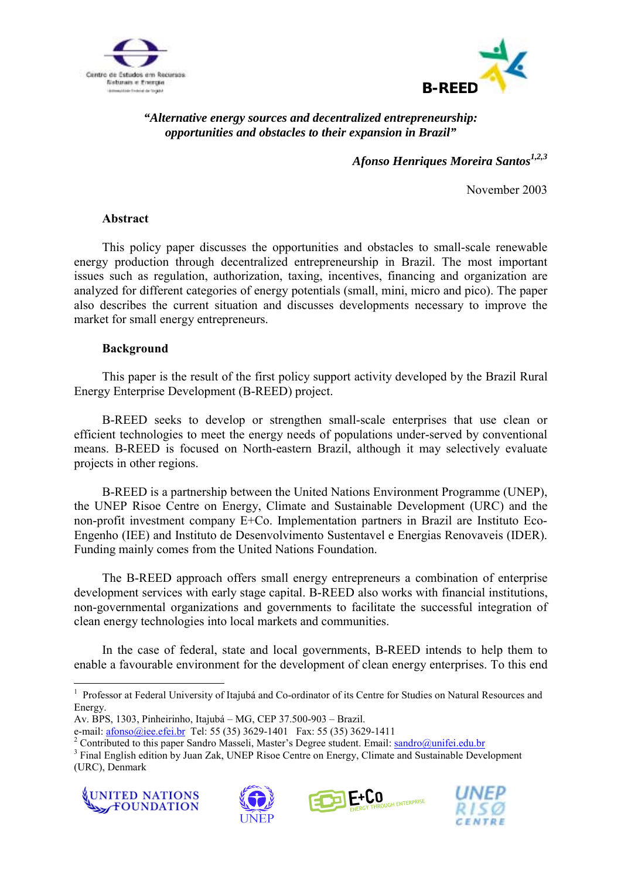



# *"Alternative energy sources and decentralized entrepreneurship: opportunities and obstacles to their expansion in Brazil"*

Afonso Henriques Moreira Santos<sup>1,2,3</sup>

November 2003

### **Abstract**

This policy paper discusses the opportunities and obstacles to small-scale renewable energy production through decentralized entrepreneurship in Brazil. The most important issues such as regulation, authorization, taxing, incentives, financing and organization are analyzed for different categories of energy potentials (small, mini, micro and pico). The paper also describes the current situation and discusses developments necessary to improve the market for small energy entrepreneurs.

#### **Background**

This paper is the result of the first policy support activity developed by the Brazil Rural Energy Enterprise Development (B-REED) project.

B-REED seeks to develop or strengthen small-scale enterprises that use clean or efficient technologies to meet the energy needs of populations under-served by conventional means. B-REED is focused on North-eastern Brazil, although it may selectively evaluate projects in other regions.

B-REED is a partnership between the United Nations Environment Programme (UNEP), the UNEP Risoe Centre on Energy, Climate and Sustainable Development (URC) and the non-profit investment company E+Co. Implementation partners in Brazil are Instituto Eco-Engenho (IEE) and Instituto de Desenvolvimento Sustentavel e Energias Renovaveis (IDER). Funding mainly comes from the United Nations Foundation.

The B-REED approach offers small energy entrepreneurs a combination of enterprise development services with early stage capital. B-REED also works with financial institutions, non-governmental organizations and governments to facilitate the successful integration of clean energy technologies into local markets and communities.

In the case of federal, state and local governments, B-REED intends to help them to enable a favourable environment for the development of clean energy enterprises. To this end

<sup>&</sup>lt;sup>3</sup> Final English edition by Juan Zak, UNEP Risoe Centre on Energy, Climate and Sustainable Development (URC), Denmark









 $\overline{a}$ <sup>1</sup> Professor at Federal University of Itajubá and Co-ordinator of its Centre for Studies on Natural Resources and Energy.

Av. BPS, 1303, Pinheirinho, Itajubá – MG, CEP 37.500-903 – Brazil.

e-mail: afonso@iee.efei.br Tel: 55 (35) 3629-1401 Fax: 55 (35) 3629-1411 2

<sup>&</sup>lt;sup>2</sup> Contributed to this paper Sandro Masseli, Master's Degree student. Email: sandro@unifei.edu.br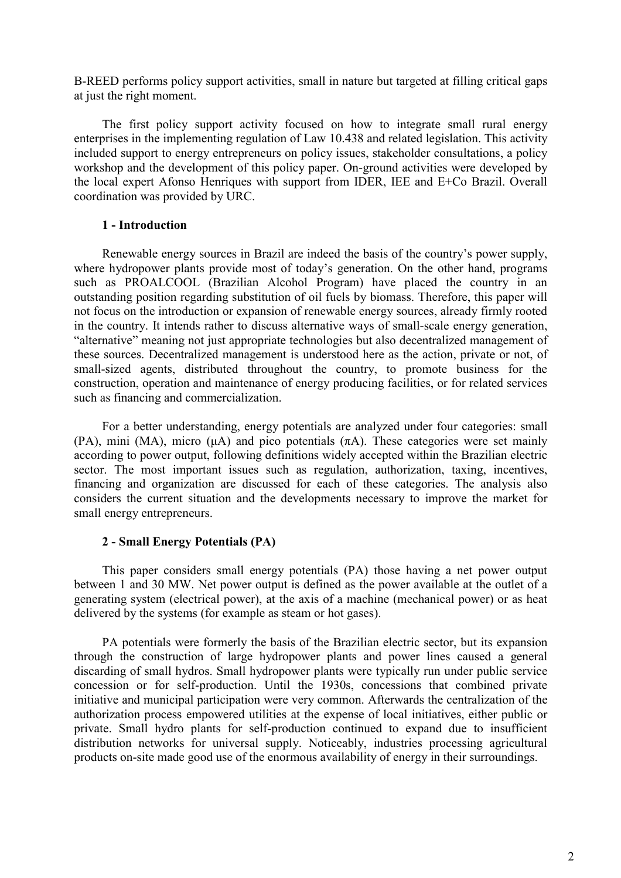B-REED performs policy support activities, small in nature but targeted at filling critical gaps at just the right moment.

The first policy support activity focused on how to integrate small rural energy enterprises in the implementing regulation of Law 10.438 and related legislation. This activity included support to energy entrepreneurs on policy issues, stakeholder consultations, a policy workshop and the development of this policy paper. On-ground activities were developed by the local expert Afonso Henriques with support from IDER, IEE and E+Co Brazil. Overall coordination was provided by URC.

## **1 - Introduction**

Renewable energy sources in Brazil are indeed the basis of the country's power supply, where hydropower plants provide most of today's generation. On the other hand, programs such as PROALCOOL (Brazilian Alcohol Program) have placed the country in an outstanding position regarding substitution of oil fuels by biomass. Therefore, this paper will not focus on the introduction or expansion of renewable energy sources, already firmly rooted in the country. It intends rather to discuss alternative ways of small-scale energy generation, "alternative" meaning not just appropriate technologies but also decentralized management of these sources. Decentralized management is understood here as the action, private or not, of small-sized agents, distributed throughout the country, to promote business for the construction, operation and maintenance of energy producing facilities, or for related services such as financing and commercialization.

For a better understanding, energy potentials are analyzed under four categories: small (PA), mini (MA), micro ( $\mu$ A) and pico potentials ( $\pi$ A). These categories were set mainly according to power output, following definitions widely accepted within the Brazilian electric sector. The most important issues such as regulation, authorization, taxing, incentives, financing and organization are discussed for each of these categories. The analysis also considers the current situation and the developments necessary to improve the market for small energy entrepreneurs.

# **2 - Small Energy Potentials (PA)**

This paper considers small energy potentials (PA) those having a net power output between 1 and 30 MW. Net power output is defined as the power available at the outlet of a generating system (electrical power), at the axis of a machine (mechanical power) or as heat delivered by the systems (for example as steam or hot gases).

PA potentials were formerly the basis of the Brazilian electric sector, but its expansion through the construction of large hydropower plants and power lines caused a general discarding of small hydros. Small hydropower plants were typically run under public service concession or for self-production. Until the 1930s, concessions that combined private initiative and municipal participation were very common. Afterwards the centralization of the authorization process empowered utilities at the expense of local initiatives, either public or private. Small hydro plants for self-production continued to expand due to insufficient distribution networks for universal supply. Noticeably, industries processing agricultural products on-site made good use of the enormous availability of energy in their surroundings.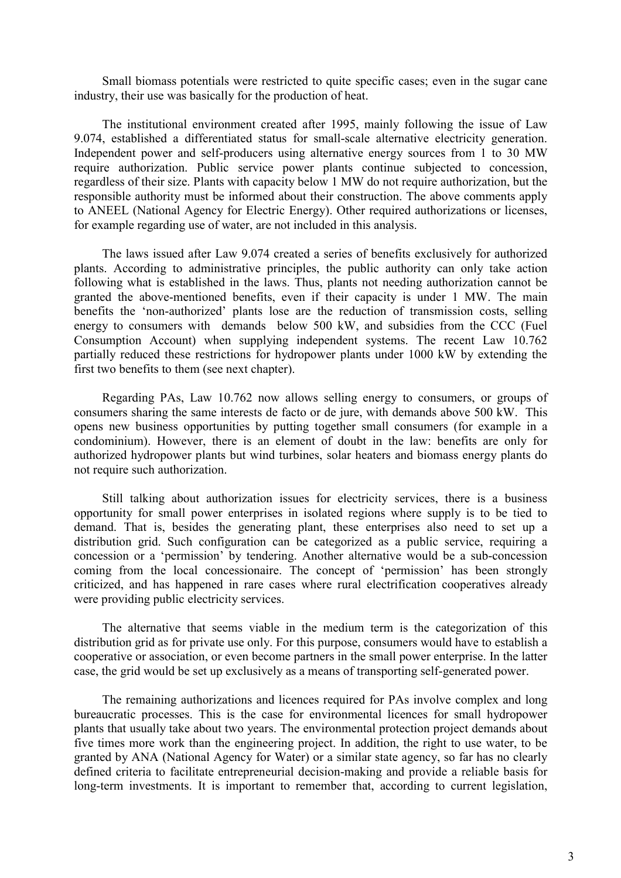Small biomass potentials were restricted to quite specific cases; even in the sugar cane industry, their use was basically for the production of heat.

The institutional environment created after 1995, mainly following the issue of Law 9.074, established a differentiated status for small-scale alternative electricity generation. Independent power and self-producers using alternative energy sources from 1 to 30 MW require authorization. Public service power plants continue subjected to concession, regardless of their size. Plants with capacity below 1 MW do not require authorization, but the responsible authority must be informed about their construction. The above comments apply to ANEEL (National Agency for Electric Energy). Other required authorizations or licenses, for example regarding use of water, are not included in this analysis.

The laws issued after Law 9.074 created a series of benefits exclusively for authorized plants. According to administrative principles, the public authority can only take action following what is established in the laws. Thus, plants not needing authorization cannot be granted the above-mentioned benefits, even if their capacity is under 1 MW. The main benefits the 'non-authorized' plants lose are the reduction of transmission costs, selling energy to consumers with demands below 500 kW, and subsidies from the CCC (Fuel Consumption Account) when supplying independent systems. The recent Law 10.762 partially reduced these restrictions for hydropower plants under 1000 kW by extending the first two benefits to them (see next chapter).

Regarding PAs, Law 10.762 now allows selling energy to consumers, or groups of consumers sharing the same interests de facto or de jure, with demands above 500 kW. This opens new business opportunities by putting together small consumers (for example in a condominium). However, there is an element of doubt in the law: benefits are only for authorized hydropower plants but wind turbines, solar heaters and biomass energy plants do not require such authorization.

Still talking about authorization issues for electricity services, there is a business opportunity for small power enterprises in isolated regions where supply is to be tied to demand. That is, besides the generating plant, these enterprises also need to set up a distribution grid. Such configuration can be categorized as a public service, requiring a concession or a 'permission' by tendering. Another alternative would be a sub-concession coming from the local concessionaire. The concept of 'permission' has been strongly criticized, and has happened in rare cases where rural electrification cooperatives already were providing public electricity services.

The alternative that seems viable in the medium term is the categorization of this distribution grid as for private use only. For this purpose, consumers would have to establish a cooperative or association, or even become partners in the small power enterprise. In the latter case, the grid would be set up exclusively as a means of transporting self-generated power.

The remaining authorizations and licences required for PAs involve complex and long bureaucratic processes. This is the case for environmental licences for small hydropower plants that usually take about two years. The environmental protection project demands about five times more work than the engineering project. In addition, the right to use water, to be granted by ANA (National Agency for Water) or a similar state agency, so far has no clearly defined criteria to facilitate entrepreneurial decision-making and provide a reliable basis for long-term investments. It is important to remember that, according to current legislation,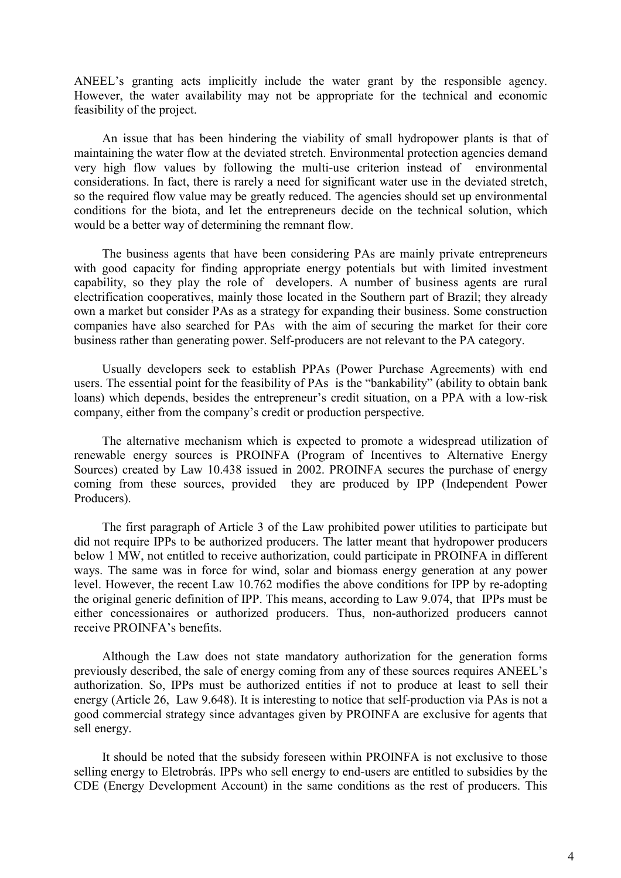ANEEL's granting acts implicitly include the water grant by the responsible agency. However, the water availability may not be appropriate for the technical and economic feasibility of the project.

An issue that has been hindering the viability of small hydropower plants is that of maintaining the water flow at the deviated stretch. Environmental protection agencies demand very high flow values by following the multi-use criterion instead of environmental considerations. In fact, there is rarely a need for significant water use in the deviated stretch, so the required flow value may be greatly reduced. The agencies should set up environmental conditions for the biota, and let the entrepreneurs decide on the technical solution, which would be a better way of determining the remnant flow.

The business agents that have been considering PAs are mainly private entrepreneurs with good capacity for finding appropriate energy potentials but with limited investment capability, so they play the role of developers. A number of business agents are rural electrification cooperatives, mainly those located in the Southern part of Brazil; they already own a market but consider PAs as a strategy for expanding their business. Some construction companies have also searched for PAs with the aim of securing the market for their core business rather than generating power. Self-producers are not relevant to the PA category.

Usually developers seek to establish PPAs (Power Purchase Agreements) with end users. The essential point for the feasibility of PAs is the "bankability" (ability to obtain bank loans) which depends, besides the entrepreneur's credit situation, on a PPA with a low-risk company, either from the company's credit or production perspective.

The alternative mechanism which is expected to promote a widespread utilization of renewable energy sources is PROINFA (Program of Incentives to Alternative Energy Sources) created by Law 10.438 issued in 2002. PROINFA secures the purchase of energy coming from these sources, provided they are produced by IPP (Independent Power Producers).

The first paragraph of Article 3 of the Law prohibited power utilities to participate but did not require IPPs to be authorized producers. The latter meant that hydropower producers below 1 MW, not entitled to receive authorization, could participate in PROINFA in different ways. The same was in force for wind, solar and biomass energy generation at any power level. However, the recent Law 10.762 modifies the above conditions for IPP by re-adopting the original generic definition of IPP. This means, according to Law 9.074, that IPPs must be either concessionaires or authorized producers. Thus, non-authorized producers cannot receive PROINFA's benefits.

Although the Law does not state mandatory authorization for the generation forms previously described, the sale of energy coming from any of these sources requires ANEEL's authorization. So, IPPs must be authorized entities if not to produce at least to sell their energy (Article 26, Law 9.648). It is interesting to notice that self-production via PAs is not a good commercial strategy since advantages given by PROINFA are exclusive for agents that sell energy.

It should be noted that the subsidy foreseen within PROINFA is not exclusive to those selling energy to Eletrobrás. IPPs who sell energy to end-users are entitled to subsidies by the CDE (Energy Development Account) in the same conditions as the rest of producers. This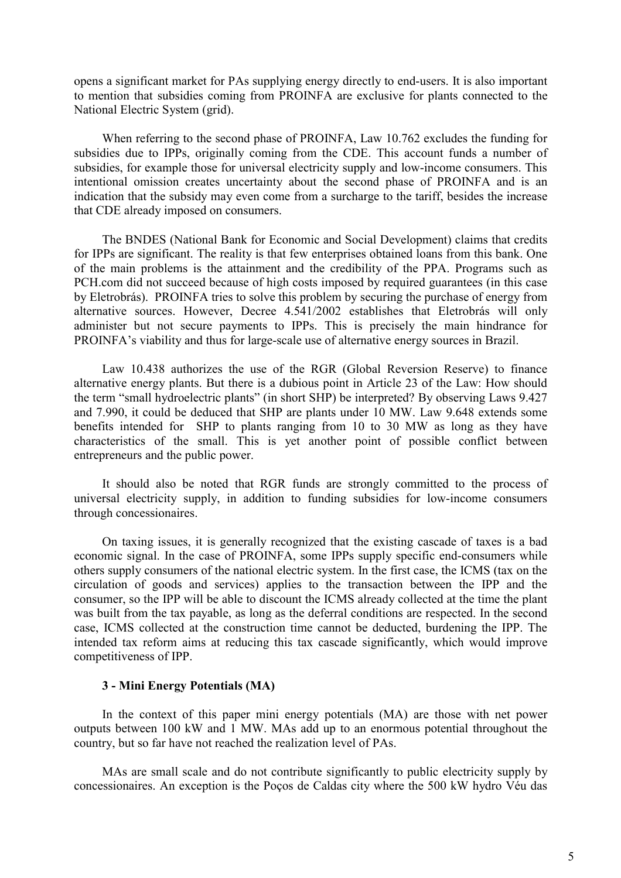opens a significant market for PAs supplying energy directly to end-users. It is also important to mention that subsidies coming from PROINFA are exclusive for plants connected to the National Electric System (grid).

When referring to the second phase of PROINFA, Law 10.762 excludes the funding for subsidies due to IPPs, originally coming from the CDE. This account funds a number of subsidies, for example those for universal electricity supply and low-income consumers. This intentional omission creates uncertainty about the second phase of PROINFA and is an indication that the subsidy may even come from a surcharge to the tariff, besides the increase that CDE already imposed on consumers.

The BNDES (National Bank for Economic and Social Development) claims that credits for IPPs are significant. The reality is that few enterprises obtained loans from this bank. One of the main problems is the attainment and the credibility of the PPA. Programs such as PCH.com did not succeed because of high costs imposed by required guarantees (in this case by Eletrobrás). PROINFA tries to solve this problem by securing the purchase of energy from alternative sources. However, Decree 4.541/2002 establishes that Eletrobrás will only administer but not secure payments to IPPs. This is precisely the main hindrance for PROINFA's viability and thus for large-scale use of alternative energy sources in Brazil.

Law 10.438 authorizes the use of the RGR (Global Reversion Reserve) to finance alternative energy plants. But there is a dubious point in Article 23 of the Law: How should the term "small hydroelectric plants" (in short SHP) be interpreted? By observing Laws 9.427 and 7.990, it could be deduced that SHP are plants under 10 MW. Law 9.648 extends some benefits intended for SHP to plants ranging from 10 to 30 MW as long as they have characteristics of the small. This is yet another point of possible conflict between entrepreneurs and the public power.

It should also be noted that RGR funds are strongly committed to the process of universal electricity supply, in addition to funding subsidies for low-income consumers through concessionaires.

On taxing issues, it is generally recognized that the existing cascade of taxes is a bad economic signal. In the case of PROINFA, some IPPs supply specific end-consumers while others supply consumers of the national electric system. In the first case, the ICMS (tax on the circulation of goods and services) applies to the transaction between the IPP and the consumer, so the IPP will be able to discount the ICMS already collected at the time the plant was built from the tax payable, as long as the deferral conditions are respected. In the second case, ICMS collected at the construction time cannot be deducted, burdening the IPP. The intended tax reform aims at reducing this tax cascade significantly, which would improve competitiveness of IPP.

#### **3 - Mini Energy Potentials (MA)**

In the context of this paper mini energy potentials (MA) are those with net power outputs between 100 kW and 1 MW. MAs add up to an enormous potential throughout the country, but so far have not reached the realization level of PAs.

MAs are small scale and do not contribute significantly to public electricity supply by concessionaires. An exception is the Poços de Caldas city where the 500 kW hydro Véu das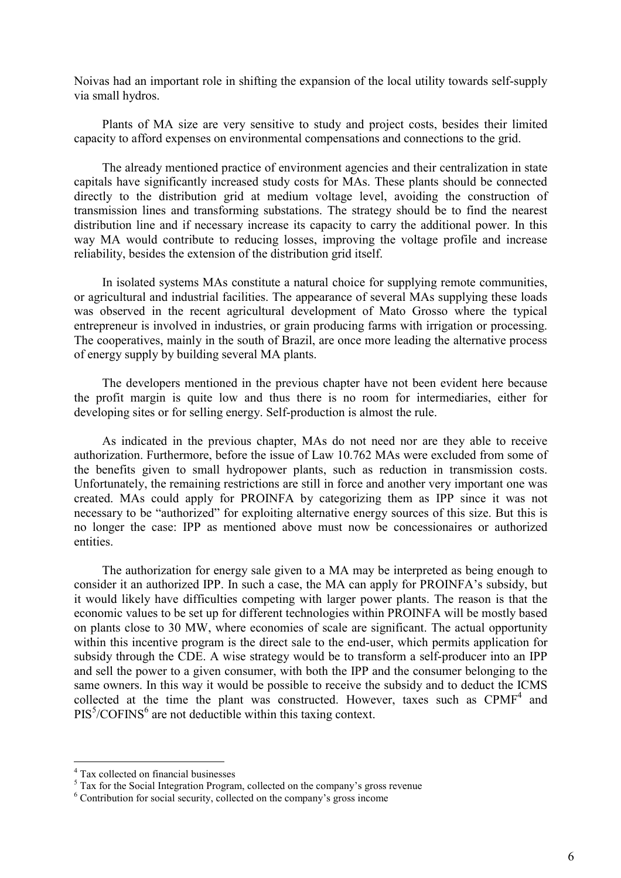Noivas had an important role in shifting the expansion of the local utility towards self-supply via small hydros.

Plants of MA size are very sensitive to study and project costs, besides their limited capacity to afford expenses on environmental compensations and connections to the grid.

The already mentioned practice of environment agencies and their centralization in state capitals have significantly increased study costs for MAs. These plants should be connected directly to the distribution grid at medium voltage level, avoiding the construction of transmission lines and transforming substations. The strategy should be to find the nearest distribution line and if necessary increase its capacity to carry the additional power. In this way MA would contribute to reducing losses, improving the voltage profile and increase reliability, besides the extension of the distribution grid itself.

In isolated systems MAs constitute a natural choice for supplying remote communities, or agricultural and industrial facilities. The appearance of several MAs supplying these loads was observed in the recent agricultural development of Mato Grosso where the typical entrepreneur is involved in industries, or grain producing farms with irrigation or processing. The cooperatives, mainly in the south of Brazil, are once more leading the alternative process of energy supply by building several MA plants.

The developers mentioned in the previous chapter have not been evident here because the profit margin is quite low and thus there is no room for intermediaries, either for developing sites or for selling energy. Self-production is almost the rule.

As indicated in the previous chapter, MAs do not need nor are they able to receive authorization. Furthermore, before the issue of Law 10.762 MAs were excluded from some of the benefits given to small hydropower plants, such as reduction in transmission costs. Unfortunately, the remaining restrictions are still in force and another very important one was created. MAs could apply for PROINFA by categorizing them as IPP since it was not necessary to be "authorized" for exploiting alternative energy sources of this size. But this is no longer the case: IPP as mentioned above must now be concessionaires or authorized entities.

The authorization for energy sale given to a MA may be interpreted as being enough to consider it an authorized IPP. In such a case, the MA can apply for PROINFA's subsidy, but it would likely have difficulties competing with larger power plants. The reason is that the economic values to be set up for different technologies within PROINFA will be mostly based on plants close to 30 MW, where economies of scale are significant. The actual opportunity within this incentive program is the direct sale to the end-user, which permits application for subsidy through the CDE. A wise strategy would be to transform a self-producer into an IPP and sell the power to a given consumer, with both the IPP and the consumer belonging to the same owners. In this way it would be possible to receive the subsidy and to deduct the ICMS collected at the time the plant was constructed. However, taxes such as  $CPMF<sup>4</sup>$  and  $PIS<sup>5</sup>/COFINS<sup>6</sup>$  are not deductible within this taxing context.

 $\overline{a}$ 

<sup>4</sup> Tax collected on financial businesses

 $5$  Tax for the Social Integration Program, collected on the company's gross revenue

<sup>&</sup>lt;sup>6</sup> Contribution for social security, collected on the company's gross income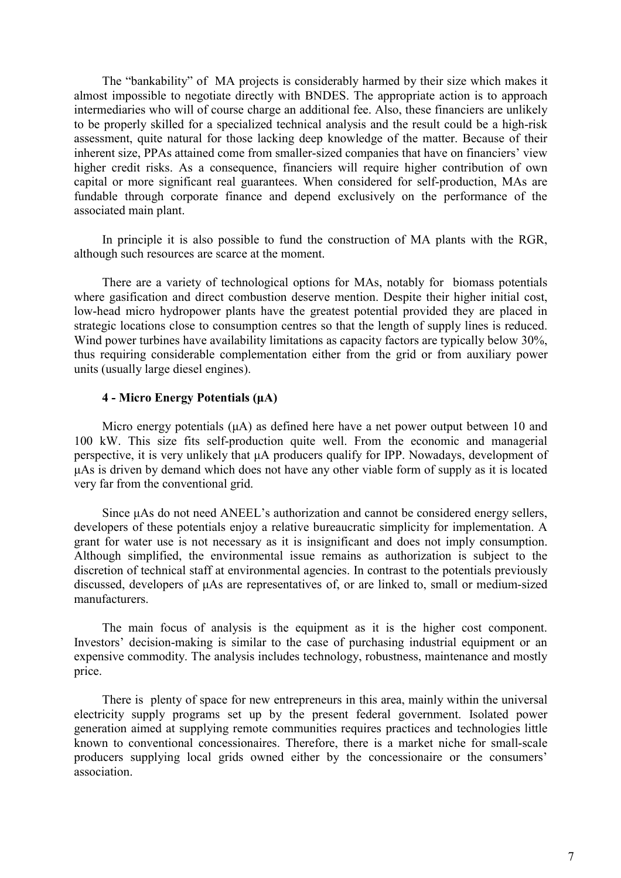The "bankability" of MA projects is considerably harmed by their size which makes it almost impossible to negotiate directly with BNDES. The appropriate action is to approach intermediaries who will of course charge an additional fee. Also, these financiers are unlikely to be properly skilled for a specialized technical analysis and the result could be a high-risk assessment, quite natural for those lacking deep knowledge of the matter. Because of their inherent size, PPAs attained come from smaller-sized companies that have on financiers' view higher credit risks. As a consequence, financiers will require higher contribution of own capital or more significant real guarantees. When considered for self-production, MAs are fundable through corporate finance and depend exclusively on the performance of the associated main plant.

In principle it is also possible to fund the construction of MA plants with the RGR, although such resources are scarce at the moment.

There are a variety of technological options for MAs, notably for biomass potentials where gasification and direct combustion deserve mention. Despite their higher initial cost, low-head micro hydropower plants have the greatest potential provided they are placed in strategic locations close to consumption centres so that the length of supply lines is reduced. Wind power turbines have availability limitations as capacity factors are typically below 30%, thus requiring considerable complementation either from the grid or from auxiliary power units (usually large diesel engines).

#### **4 - Micro Energy Potentials (µA)**

Micro energy potentials ( $\mu$ A) as defined here have a net power output between 10 and 100 kW. This size fits self-production quite well. From the economic and managerial perspective, it is very unlikely that µA producers qualify for IPP. Nowadays, development of µAs is driven by demand which does not have any other viable form of supply as it is located very far from the conventional grid.

Since  $\mu$ As do not need ANEEL's authorization and cannot be considered energy sellers, developers of these potentials enjoy a relative bureaucratic simplicity for implementation. A grant for water use is not necessary as it is insignificant and does not imply consumption. Although simplified, the environmental issue remains as authorization is subject to the discretion of technical staff at environmental agencies. In contrast to the potentials previously discussed, developers of µAs are representatives of, or are linked to, small or medium-sized manufacturers.

The main focus of analysis is the equipment as it is the higher cost component. Investors' decision-making is similar to the case of purchasing industrial equipment or an expensive commodity. The analysis includes technology, robustness, maintenance and mostly price.

There is plenty of space for new entrepreneurs in this area, mainly within the universal electricity supply programs set up by the present federal government. Isolated power generation aimed at supplying remote communities requires practices and technologies little known to conventional concessionaires. Therefore, there is a market niche for small-scale producers supplying local grids owned either by the concessionaire or the consumers' association.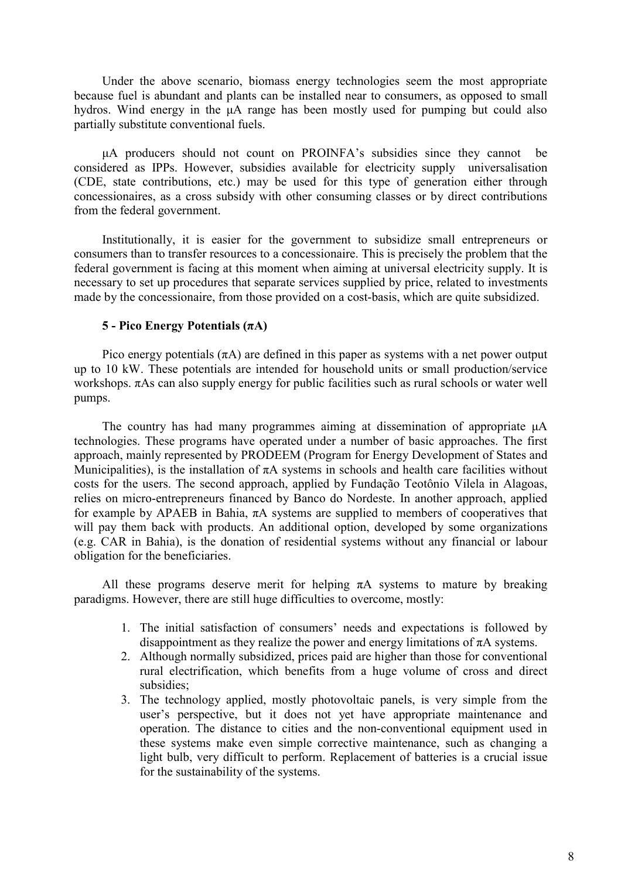Under the above scenario, biomass energy technologies seem the most appropriate because fuel is abundant and plants can be installed near to consumers, as opposed to small hydros. Wind energy in the µA range has been mostly used for pumping but could also partially substitute conventional fuels.

µA producers should not count on PROINFAís subsidies since they cannot be considered as IPPs. However, subsidies available for electricity supply universalisation (CDE, state contributions, etc.) may be used for this type of generation either through concessionaires, as a cross subsidy with other consuming classes or by direct contributions from the federal government.

Institutionally, it is easier for the government to subsidize small entrepreneurs or consumers than to transfer resources to a concessionaire. This is precisely the problem that the federal government is facing at this moment when aiming at universal electricity supply. It is necessary to set up procedures that separate services supplied by price, related to investments made by the concessionaire, from those provided on a cost-basis, which are quite subsidized.

## **5 - Pico Energy Potentials (πA)**

Pico energy potentials  $(\pi A)$  are defined in this paper as systems with a net power output up to 10 kW. These potentials are intended for household units or small production/service workshops. πAs can also supply energy for public facilities such as rural schools or water well pumps.

The country has had many programmes aiming at dissemination of appropriate  $\mu A$ technologies. These programs have operated under a number of basic approaches. The first approach, mainly represented by PRODEEM (Program for Energy Development of States and Municipalities), is the installation of  $\pi A$  systems in schools and health care facilities without costs for the users. The second approach, applied by Fundação Teotônio Vilela in Alagoas, relies on micro-entrepreneurs financed by Banco do Nordeste. In another approach, applied for example by APAEB in Bahia, πA systems are supplied to members of cooperatives that will pay them back with products. An additional option, developed by some organizations (e.g. CAR in Bahia), is the donation of residential systems without any financial or labour obligation for the beneficiaries.

All these programs deserve merit for helping  $\pi A$  systems to mature by breaking paradigms. However, there are still huge difficulties to overcome, mostly:

- 1. The initial satisfaction of consumers' needs and expectations is followed by disappointment as they realize the power and energy limitations of  $\pi A$  systems.
- 2. Although normally subsidized, prices paid are higher than those for conventional rural electrification, which benefits from a huge volume of cross and direct subsidies;
- 3. The technology applied, mostly photovoltaic panels, is very simple from the user's perspective, but it does not yet have appropriate maintenance and operation. The distance to cities and the non-conventional equipment used in these systems make even simple corrective maintenance, such as changing a light bulb, very difficult to perform. Replacement of batteries is a crucial issue for the sustainability of the systems.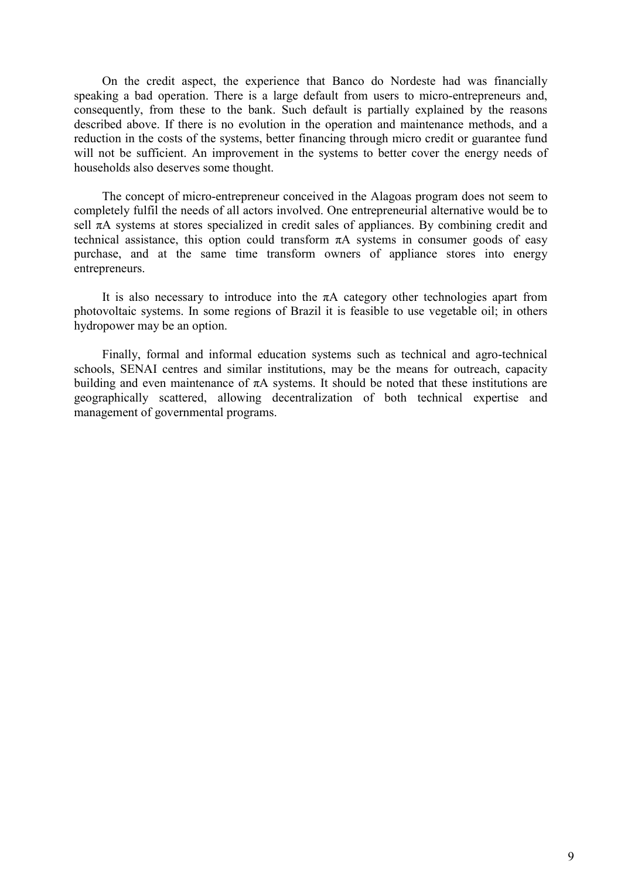On the credit aspect, the experience that Banco do Nordeste had was financially speaking a bad operation. There is a large default from users to micro-entrepreneurs and, consequently, from these to the bank. Such default is partially explained by the reasons described above. If there is no evolution in the operation and maintenance methods, and a reduction in the costs of the systems, better financing through micro credit or guarantee fund will not be sufficient. An improvement in the systems to better cover the energy needs of households also deserves some thought.

The concept of micro-entrepreneur conceived in the Alagoas program does not seem to completely fulfil the needs of all actors involved. One entrepreneurial alternative would be to sell  $\pi$ A systems at stores specialized in credit sales of appliances. By combining credit and technical assistance, this option could transform  $\pi A$  systems in consumer goods of easy purchase, and at the same time transform owners of appliance stores into energy entrepreneurs.

It is also necessary to introduce into the  $\pi A$  category other technologies apart from photovoltaic systems. In some regions of Brazil it is feasible to use vegetable oil; in others hydropower may be an option.

Finally, formal and informal education systems such as technical and agro-technical schools, SENAI centres and similar institutions, may be the means for outreach, capacity building and even maintenance of  $\pi A$  systems. It should be noted that these institutions are geographically scattered, allowing decentralization of both technical expertise and management of governmental programs.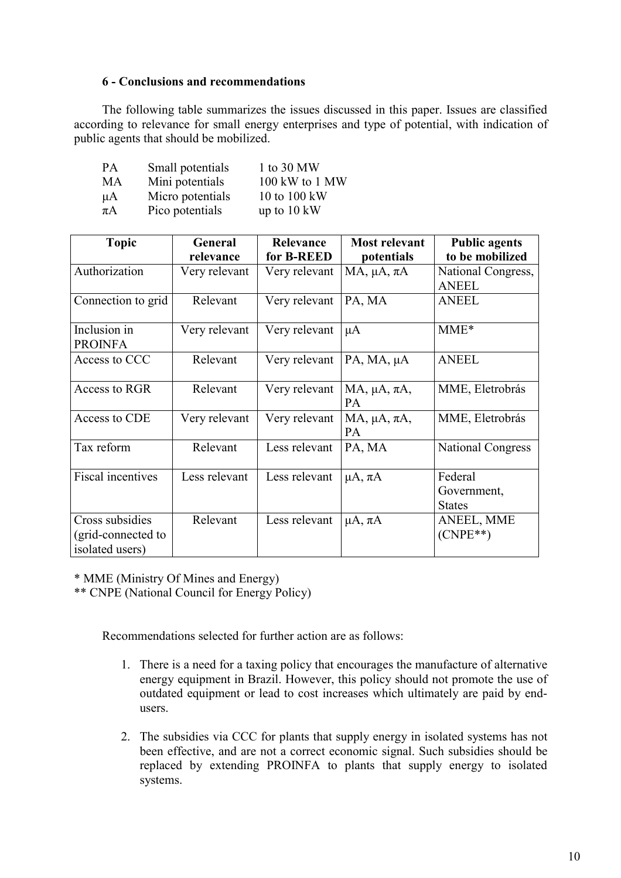## **6 - Conclusions and recommendations**

The following table summarizes the issues discussed in this paper. Issues are classified according to relevance for small energy enterprises and type of potential, with indication of public agents that should be mobilized.

| PA      | Small potentials | 1 to 30 MW            |
|---------|------------------|-----------------------|
| MA      | Mini potentials  | 100 kW to 1 MW        |
| $\mu A$ | Micro potentials | 10 to 100 kW          |
| $\pi A$ | Pico potentials  | up to $10 \text{ kW}$ |

| <b>Topic</b>                                             | General       | Relevance     | <b>Most relevant</b>        | <b>Public agents</b>     |
|----------------------------------------------------------|---------------|---------------|-----------------------------|--------------------------|
|                                                          | relevance     | for B-REED    | potentials                  | to be mobilized          |
| Authorization                                            | Very relevant | Very relevant | $MA$ , $\mu A$ , $\pi A$    | National Congress,       |
|                                                          |               |               |                             | <b>ANEEL</b>             |
| Connection to grid                                       | Relevant      | Very relevant | PA, MA                      | <b>ANEEL</b>             |
| Inclusion in                                             | Very relevant | Very relevant | $\mu A$                     | $MME*$                   |
| <b>PROINFA</b>                                           |               |               |                             |                          |
| Access to CCC                                            | Relevant      | Very relevant | PA, MA, µA                  | <b>ANEEL</b>             |
| Access to RGR                                            | Relevant      | Very relevant | MA, $\mu$ A, $\pi$ A,<br>PA | MME, Eletrobrás          |
| Access to CDE                                            | Very relevant | Very relevant | MA, $\mu$ A, $\pi$ A,<br>PA | MME, Eletrobrás          |
| Tax reform                                               | Relevant      | Less relevant | PA, MA                      | <b>National Congress</b> |
| <b>Fiscal incentives</b>                                 | Less relevant | Less relevant | $\mu A$ , $\pi A$           | Federal                  |
|                                                          |               |               |                             | Government,              |
|                                                          |               |               |                             | <b>States</b>            |
| Cross subsidies<br>(grid-connected to<br>isolated users) | Relevant      | Less relevant | $\mu A$ , $\pi A$           | ANEEL, MME<br>$(CNPE**)$ |

\* MME (Ministry Of Mines and Energy)

\*\* CNPE (National Council for Energy Policy)

Recommendations selected for further action are as follows:

- 1. There is a need for a taxing policy that encourages the manufacture of alternative energy equipment in Brazil. However, this policy should not promote the use of outdated equipment or lead to cost increases which ultimately are paid by endusers.
- 2. The subsidies via CCC for plants that supply energy in isolated systems has not been effective, and are not a correct economic signal. Such subsidies should be replaced by extending PROINFA to plants that supply energy to isolated systems.